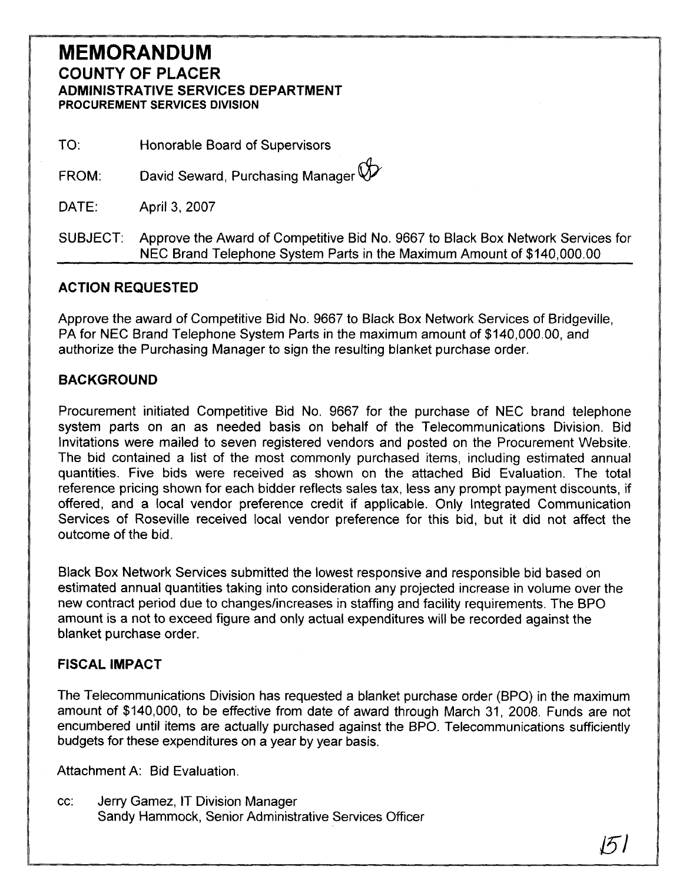## **MEMORANDUM COUNTY OF PLACER ADMINISTRATIVE SERVICES DEPARTMENT<br>PROCUREMENT SERVICES DIVISION**

TO: Honorable Board of Supervisors

David Seward, Purchasing Manager  $\bigotimes$ FROM:

DATE: April 3, 2007

SUBJECT: Approve the Award of Competitive Bid No. 9667 to Black Box Network Services for NEC Brand Telephone System Parts in the Maximum Amount of \$140,000.00

### **ACTION REQUESTED**

Approve the award of Competitive Bid No. 9667 to Black Box Network Services of Bridgeville, PA for NEC Brand Telephone System Parts in the maximum amount of \$140,000.00, and authorize the Purchasing Manager to sign the resulting blanket purchase order.

### **BACKGROUND**

Procurement initiated Competitive Bid No. 9667 for the purchase of NEC brand telephone system parts on an as needed basis on behalf of the Telecommunications Division. Bid Invitations were mailed to seven registered vendors and posted on the Procurement Website. The bid contained a list of the most commonly purchased items, including estimated annual quantities. Five bids were received as shown on the attached Bid Evaluation. The total reference pricing shown for each bidder reflects sales tax, less any prompt payment discounts, if offered, and a local vendor preference credit if applicable. Only Integrated Communication Services of Roseville received local vendor preference for this bid, but it did not affect the outcome of the bid.

Black Box Network Services submitted the lowest responsive and responsible bid based on estimated annual quantities taking into consideration any projected increase in volume over the new contract period due to changes/increases in staffing and facility requirements. The BPO amount is a not to exceed figure and only actual expenditures will be recorded against the blanket purchase order.

### **FISCAL IMPACT**

The Telecommunications Division has requested a blanket purchase order (BPO) in the maximum amount of \$140,000, to be effective from date of award through March 31, 2008. Funds are not encumbered until items are actually purchased against the BPO. Telecommunications sufficiently budgets for these expenditures on a year by year basis.

Attachment A: Bid Evaluation.

cc: Jerry Gamez, IT Division Manager Sandy Hammock, Senior Administrative Services Officer